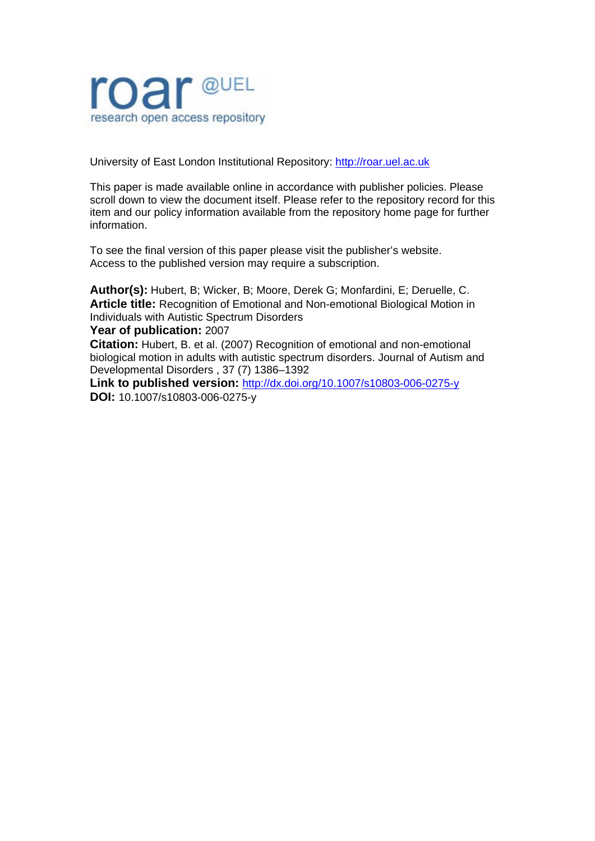

University of East London Institutional Repository: [http://roar.uel.ac.uk](http://roar.uel.ac.uk/) 

This paper is made available online in accordance with publisher policies. Please scroll down to view the document itself. Please refer to the repository record for this item and our policy information available from the repository home page for further information.

To see the final version of this paper please visit the publisher's website. Access to the published version may require a subscription.

**Author(s):** Hubert, B; Wicker, B; Moore, Derek G; Monfardini, E; Deruelle, C. **Article title:** Recognition of Emotional and Non-emotional Biological Motion in Individuals with Autistic Spectrum Disorders

#### **Year of publication:** 2007

**Citation:** Hubert, B. et al. (2007) Recognition of emotional and non-emotional biological motion in adults with autistic spectrum disorders. Journal of Autism and Developmental Disorders , 37 (7) 1386–1392

**Link to published version:** <http://dx.doi.org/10.1007/s10803-006-0275-y> **DOI:** 10.1007/s10803-006-0275-y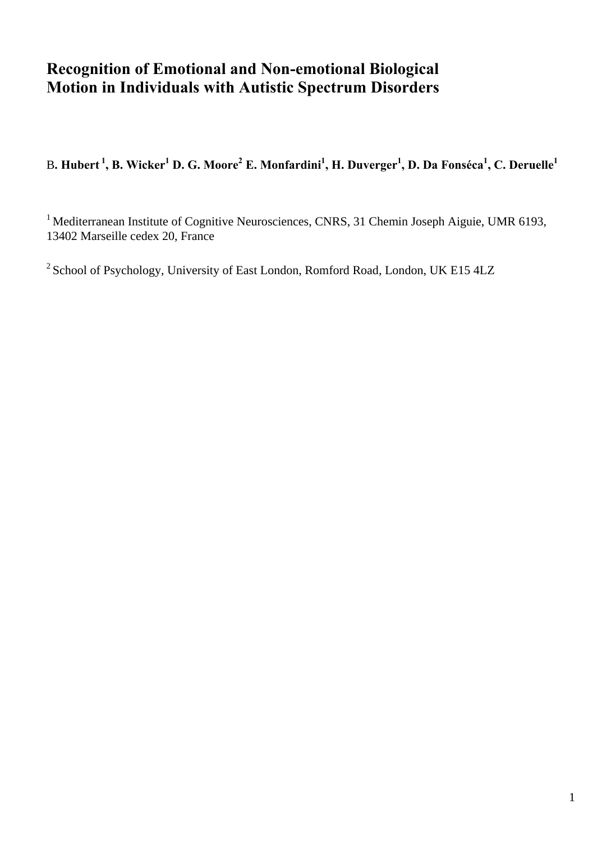# **Recognition of Emotional and Non-emotional Biological Motion in Individuals with Autistic Spectrum Disorders**

B. Hubert <sup>1</sup>, B. Wicker<sup>1</sup> D. G. Moore<sup>2</sup> E. Monfardini<sup>1</sup>, H. Duverger<sup>1</sup>, D. Da Fonséca<sup>1</sup>, C. Deruelle<sup>1</sup>

<sup>1</sup> Mediterranean Institute of Cognitive Neurosciences, CNRS, 31 Chemin Joseph Aiguie, UMR 6193, 13402 Marseille cedex 20, France

<sup>2</sup> School of Psychology, University of East London, Romford Road, London, UK E15 4LZ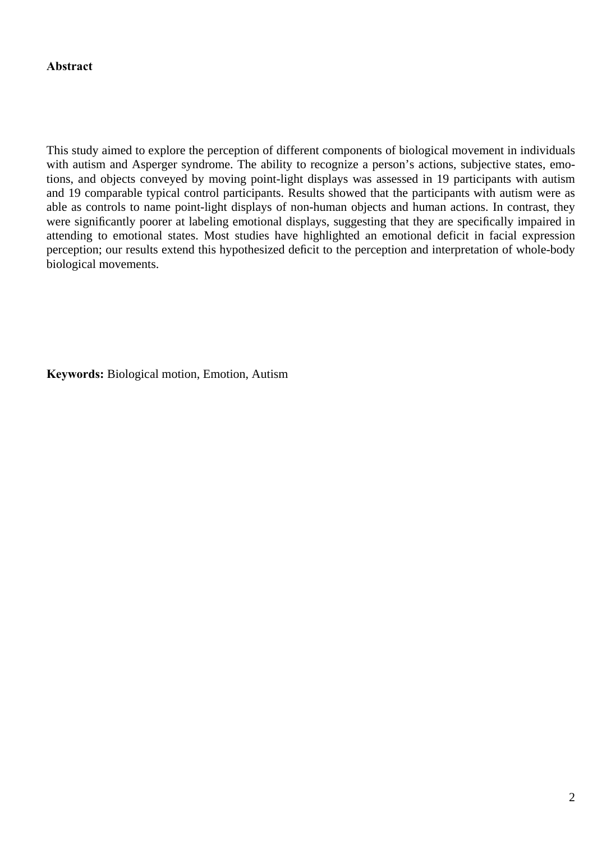**Abstract** 

This study aimed to explore the perception of different components of biological movement in individuals with autism and Asperger syndrome. The ability to recognize a person's actions, subjective states, emotions, and objects conveyed by moving point-light displays was assessed in 19 participants with autism and 19 comparable typical control participants. Results showed that the participants with autism were as able as controls to name point-light displays of non-human objects and human actions. In contrast, they were significantly poorer at labeling emotional displays, suggesting that they are specifically impaired in attending to emotional states. Most studies have highlighted an emotional deficit in facial expression perception; our results extend this hypothesized deficit to the perception and interpretation of whole-body biological movements.

**Keywords:** Biological motion, Emotion, Autism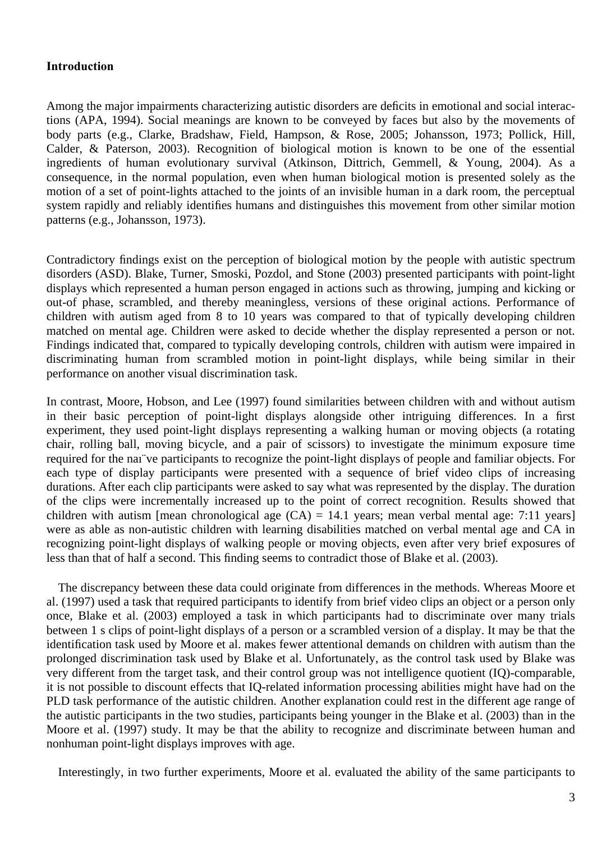#### **Introduction**

Among the major impairments characterizing autistic disorders are deficits in emotional and social interactions (APA, 1994). Social meanings are known to be conveyed by faces but also by the movements of body parts (e.g., Clarke, Bradshaw, Field, Hampson, & Rose, 2005; Johansson, 1973; Pollick, Hill, Calder, & Paterson, 2003). Recognition of biological motion is known to be one of the essential ingredients of human evolutionary survival (Atkinson, Dittrich, Gemmell, & Young, 2004). As a consequence, in the normal population, even when human biological motion is presented solely as the motion of a set of point-lights attached to the joints of an invisible human in a dark room, the perceptual system rapidly and reliably identifies humans and distinguishes this movement from other similar motion patterns (e.g., Johansson, 1973).

Contradictory findings exist on the perception of biological motion by the people with autistic spectrum disorders (ASD). Blake, Turner, Smoski, Pozdol, and Stone (2003) presented participants with point-light displays which represented a human person engaged in actions such as throwing, jumping and kicking or out-of phase, scrambled, and thereby meaningless, versions of these original actions. Performance of children with autism aged from 8 to 10 years was compared to that of typically developing children matched on mental age. Children were asked to decide whether the display represented a person or not. Findings indicated that, compared to typically developing controls, children with autism were impaired in discriminating human from scrambled motion in point-light displays, while being similar in their performance on another visual discrimination task.

In contrast, Moore, Hobson, and Lee (1997) found similarities between children with and without autism in their basic perception of point-light displays alongside other intriguing differences. In a first experiment, they used point-light displays representing a walking human or moving objects (a rotating chair, rolling ball, moving bicycle, and a pair of scissors) to investigate the minimum exposure time required for the naı¨ve participants to recognize the point-light displays of people and familiar objects. For each type of display participants were presented with a sequence of brief video clips of increasing durations. After each clip participants were asked to say what was represented by the display. The duration of the clips were incrementally increased up to the point of correct recognition. Results showed that children with autism [mean chronological age  $(CA) = 14.1$  years; mean verbal mental age: 7:11 years] were as able as non-autistic children with learning disabilities matched on verbal mental age and CA in recognizing point-light displays of walking people or moving objects, even after very brief exposures of less than that of half a second. This finding seems to contradict those of Blake et al. (2003).

The discrepancy between these data could originate from differences in the methods. Whereas Moore et al. (1997) used a task that required participants to identify from brief video clips an object or a person only once, Blake et al. (2003) employed a task in which participants had to discriminate over many trials between 1 s clips of point-light displays of a person or a scrambled version of a display. It may be that the identification task used by Moore et al. makes fewer attentional demands on children with autism than the prolonged discrimination task used by Blake et al. Unfortunately, as the control task used by Blake was very different from the target task, and their control group was not intelligence quotient (IQ)-comparable, it is not possible to discount effects that IQ-related information processing abilities might have had on the PLD task performance of the autistic children. Another explanation could rest in the different age range of the autistic participants in the two studies, participants being younger in the Blake et al. (2003) than in the Moore et al. (1997) study. It may be that the ability to recognize and discriminate between human and nonhuman point-light displays improves with age.

Interestingly, in two further experiments, Moore et al. evaluated the ability of the same participants to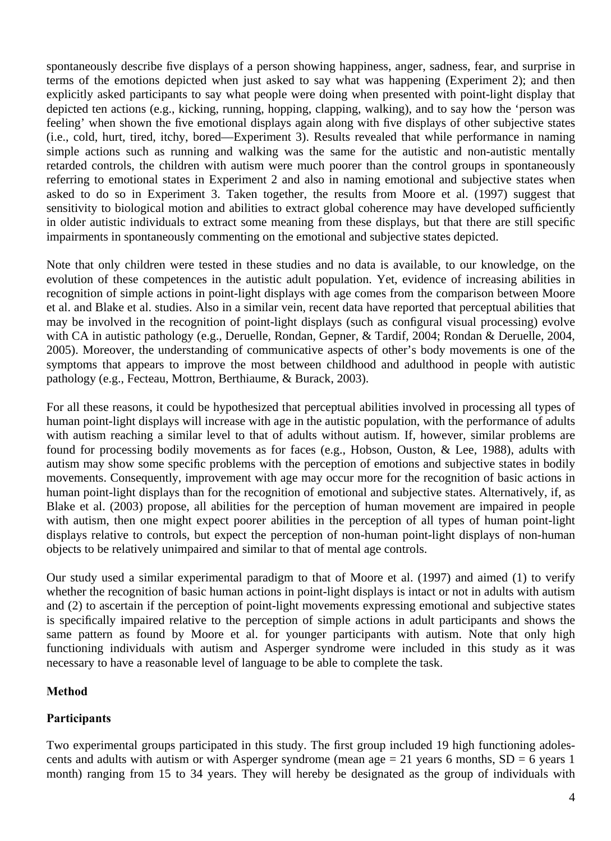spontaneously describe five displays of a person showing happiness, anger, sadness, fear, and surprise in terms of the emotions depicted when just asked to say what was happening (Experiment 2); and then explicitly asked participants to say what people were doing when presented with point-light display that depicted ten actions (e.g., kicking, running, hopping, clapping, walking), and to say how the 'person was feeling' when shown the five emotional displays again along with five displays of other subjective states (i.e., cold, hurt, tired, itchy, bored—Experiment 3). Results revealed that while performance in naming simple actions such as running and walking was the same for the autistic and non-autistic mentally retarded controls, the children with autism were much poorer than the control groups in spontaneously referring to emotional states in Experiment 2 and also in naming emotional and subjective states when asked to do so in Experiment 3. Taken together, the results from Moore et al. (1997) suggest that sensitivity to biological motion and abilities to extract global coherence may have developed sufficiently in older autistic individuals to extract some meaning from these displays, but that there are still specific impairments in spontaneously commenting on the emotional and subjective states depicted.

Note that only children were tested in these studies and no data is available, to our knowledge, on the evolution of these competences in the autistic adult population. Yet, evidence of increasing abilities in recognition of simple actions in point-light displays with age comes from the comparison between Moore et al. and Blake et al. studies. Also in a similar vein, recent data have reported that perceptual abilities that may be involved in the recognition of point-light displays (such as configural visual processing) evolve with CA in autistic pathology (e.g., Deruelle, Rondan, Gepner, & Tardif, 2004; Rondan & Deruelle, 2004, 2005). Moreover, the understanding of communicative aspects of other's body movements is one of the symptoms that appears to improve the most between childhood and adulthood in people with autistic pathology (e.g., Fecteau, Mottron, Berthiaume, & Burack, 2003).

For all these reasons, it could be hypothesized that perceptual abilities involved in processing all types of human point-light displays will increase with age in the autistic population, with the performance of adults with autism reaching a similar level to that of adults without autism. If, however, similar problems are found for processing bodily movements as for faces (e.g., Hobson, Ouston, & Lee, 1988), adults with autism may show some specific problems with the perception of emotions and subjective states in bodily movements. Consequently, improvement with age may occur more for the recognition of basic actions in human point-light displays than for the recognition of emotional and subjective states. Alternatively, if, as Blake et al. (2003) propose, all abilities for the perception of human movement are impaired in people with autism, then one might expect poorer abilities in the perception of all types of human point-light displays relative to controls, but expect the perception of non-human point-light displays of non-human objects to be relatively unimpaired and similar to that of mental age controls.

Our study used a similar experimental paradigm to that of Moore et al. (1997) and aimed (1) to verify whether the recognition of basic human actions in point-light displays is intact or not in adults with autism and (2) to ascertain if the perception of point-light movements expressing emotional and subjective states is specifically impaired relative to the perception of simple actions in adult participants and shows the same pattern as found by Moore et al. for younger participants with autism. Note that only high functioning individuals with autism and Asperger syndrome were included in this study as it was necessary to have a reasonable level of language to be able to complete the task.

# **Method**

# **Participants**

Two experimental groups participated in this study. The first group included 19 high functioning adolescents and adults with autism or with Asperger syndrome (mean age  $= 21$  years 6 months,  $SD = 6$  years 1 month) ranging from 15 to 34 years. They will hereby be designated as the group of individuals with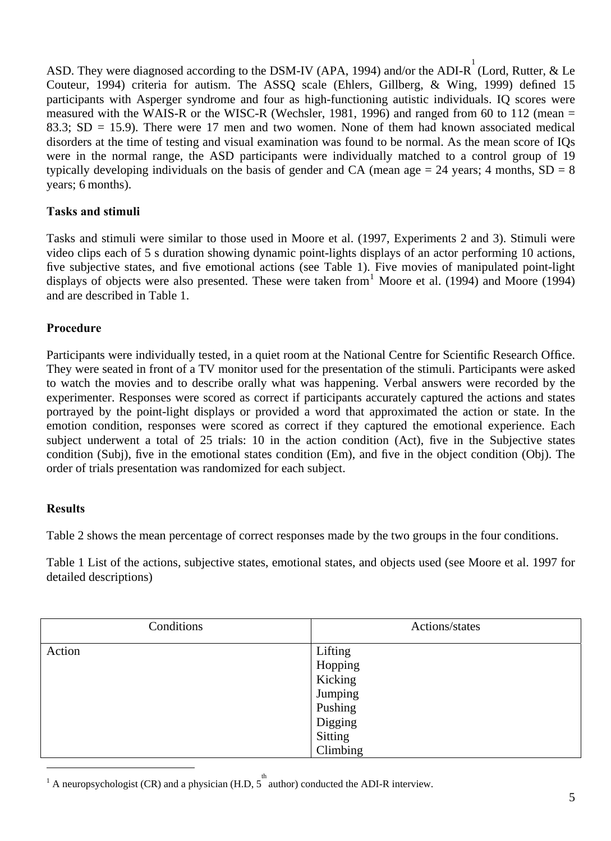ASD. They were diagnosed according to the DSM-IV (APA, 1994) and/or the ADI-R  $\bigcup_{i=1}^{1}$  (Lord, Rutter, & Le Couteur, 1994) criteria for autism. The ASSQ scale (Ehlers, Gillberg, & Wing, 1999) defined 15 participants with Asperger syndrome and four as high-functioning autistic individuals. IQ scores were measured with the WAIS-R or the WISC-R (Wechsler, 1981, 1996) and ranged from 60 to 112 (mean = 83.3;  $SD = 15.9$ ). There were 17 men and two women. None of them had known associated medical disorders at the time of testing and visual examination was found to be normal. As the mean score of IQs were in the normal range, the ASD participants were individually matched to a control group of 19 typically developing individuals on the basis of gender and CA (mean age  $= 24$  years; 4 months,  $SD = 8$ ) years; 6 months).

## **Tasks and stimuli**

Tasks and stimuli were similar to those used in Moore et al. (1997, Experiments 2 and 3). Stimuli were video clips each of 5 s duration showing dynamic point-lights displays of an actor performing 10 actions, five subjective states, and five emotional actions (see Table 1). Five movies of manipulated point-light displays of objects were also presented. These were taken from  $1$  Moore et al. (1994) and Moore (1994) and are described in Table 1.

## **Procedure**

Participants were individually tested, in a quiet room at the National Centre for Scientific Research Office. They were seated in front of a TV monitor used for the presentation of the stimuli. Participants were asked to watch the movies and to describe orally what was happening. Verbal answers were recorded by the experimenter. Responses were scored as correct if participants accurately captured the actions and states portrayed by the point-light displays or provided a word that approximated the action or state. In the emotion condition, responses were scored as correct if they captured the emotional experience. Each subject underwent a total of 25 trials: 10 in the action condition (Act), five in the Subjective states condition (Subj), five in the emotional states condition (Em), and five in the object condition (Obj). The order of trials presentation was randomized for each subject.

#### **Results**

 $\overline{a}$ 

Table 2 shows the mean percentage of correct responses made by the two groups in the four conditions.

Table 1 List of the actions, subjective states, emotional states, and objects used (see Moore et al. 1997 for detailed descriptions)

| Conditions | Actions/states                                                            |  |
|------------|---------------------------------------------------------------------------|--|
| Action     | Lifting<br>Hopping<br>Kicking<br>Jumping<br>Pushing<br>Digging<br>Sitting |  |
|            | Climbing                                                                  |  |

<span id="page-5-0"></span><sup>1</sup> A neuropsychologist (CR) and a physician (H.D,  $5<sup>th</sup>$  author) conducted the ADI-R interview.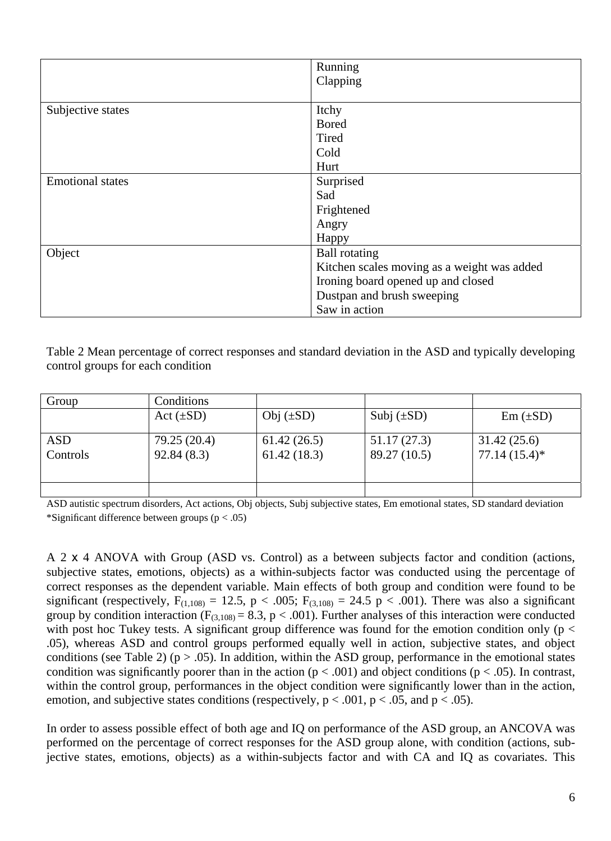|                         | Running                                     |  |
|-------------------------|---------------------------------------------|--|
|                         | Clapping                                    |  |
|                         |                                             |  |
| Subjective states       | Itchy                                       |  |
|                         | <b>Bored</b>                                |  |
|                         | Tired                                       |  |
|                         | Cold                                        |  |
|                         | Hurt                                        |  |
| <b>Emotional states</b> | Surprised                                   |  |
|                         | Sad                                         |  |
|                         | Frightened                                  |  |
|                         | Angry                                       |  |
|                         | Happy                                       |  |
| Object                  | <b>Ball</b> rotating                        |  |
|                         | Kitchen scales moving as a weight was added |  |
|                         | Ironing board opened up and closed          |  |
|                         | Dustpan and brush sweeping                  |  |
|                         | Saw in action                               |  |

Table 2 Mean percentage of correct responses and standard deviation in the ASD and typically developing control groups for each condition

| Group           | Conditions                 |                            |                             |                                |
|-----------------|----------------------------|----------------------------|-----------------------------|--------------------------------|
|                 | $Act(\pm SD)$              | Obj $(\pm SD)$             | Subj $(\pm SD)$             | $Em (\pm SD)$                  |
| ASD<br>Controls | 79.25 (20.4)<br>92.84(8.3) | 61.42(26.5)<br>61.42(18.3) | 51.17(27.3)<br>89.27 (10.5) | 31.42(25.6)<br>$77.14(15.4)$ * |
|                 |                            |                            |                             |                                |

ASD autistic spectrum disorders, Act actions, Obj objects, Subj subjective states, Em emotional states, SD standard deviation \*Significant difference between groups  $(p < .05)$ 

A 2 x 4 ANOVA with Group (ASD vs. Control) as a between subjects factor and condition (actions, subjective states, emotions, objects) as a within-subjects factor was conducted using the percentage of correct responses as the dependent variable. Main effects of both group and condition were found to be significant (respectively,  $F_{(1,108)} = 12.5$ , p < .005;  $F_{(3,108)} = 24.5$  p < .001). There was also a significant group by condition interaction ( $F_{(3,108)} = 8.3$ , p < .001). Further analyses of this interaction were conducted with post hoc Tukey tests. A significant group difference was found for the emotion condition only ( $p <$ .05), whereas ASD and control groups performed equally well in action, subjective states, and object conditions (see Table 2) ( $p > .05$ ). In addition, within the ASD group, performance in the emotional states condition was significantly poorer than in the action ( $p < .001$ ) and object conditions ( $p < .05$ ). In contrast, within the control group, performances in the object condition were significantly lower than in the action, emotion, and subjective states conditions (respectively,  $p < .001$ ,  $p < .05$ , and  $p < .05$ ).

In order to assess possible effect of both age and IQ on performance of the ASD group, an ANCOVA was performed on the percentage of correct responses for the ASD group alone, with condition (actions, subjective states, emotions, objects) as a within-subjects factor and with CA and IQ as covariates. This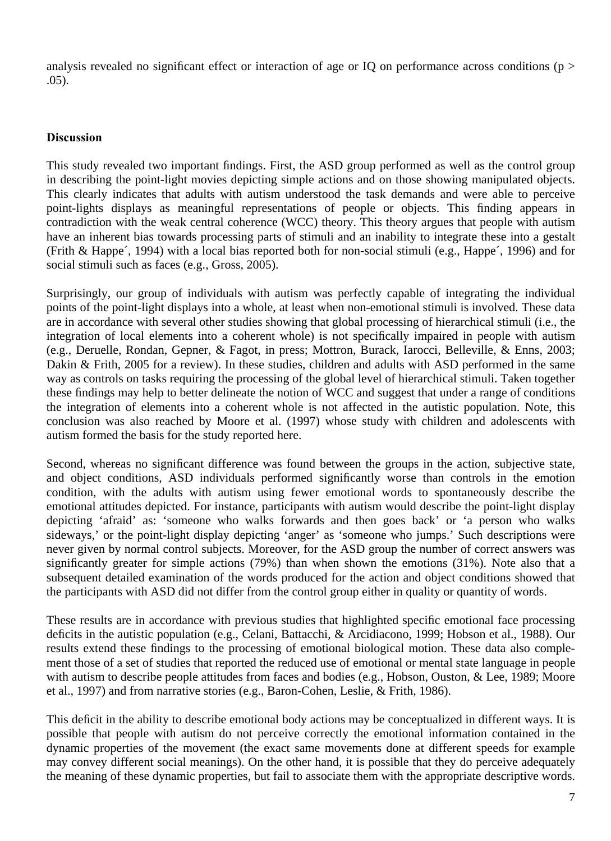analysis revealed no significant effect or interaction of age or IQ on performance across conditions ( $p >$ .05).

### **Discussion**

This study revealed two important findings. First, the ASD group performed as well as the control group in describing the point-light movies depicting simple actions and on those showing manipulated objects. This clearly indicates that adults with autism understood the task demands and were able to perceive point-lights displays as meaningful representations of people or objects. This finding appears in contradiction with the weak central coherence (WCC) theory. This theory argues that people with autism have an inherent bias towards processing parts of stimuli and an inability to integrate these into a gestalt (Frith & Happe´, 1994) with a local bias reported both for non-social stimuli (e.g., Happe´, 1996) and for social stimuli such as faces (e.g., Gross, 2005).

Surprisingly, our group of individuals with autism was perfectly capable of integrating the individual points of the point-light displays into a whole, at least when non-emotional stimuli is involved. These data are in accordance with several other studies showing that global processing of hierarchical stimuli (i.e., the integration of local elements into a coherent whole) is not specifically impaired in people with autism (e.g., Deruelle, Rondan, Gepner, & Fagot, in press; Mottron, Burack, Iarocci, Belleville, & Enns, 2003; Dakin & Frith, 2005 for a review). In these studies, children and adults with ASD performed in the same way as controls on tasks requiring the processing of the global level of hierarchical stimuli. Taken together these findings may help to better delineate the notion of WCC and suggest that under a range of conditions the integration of elements into a coherent whole is not affected in the autistic population. Note, this conclusion was also reached by Moore et al. (1997) whose study with children and adolescents with autism formed the basis for the study reported here.

Second, whereas no significant difference was found between the groups in the action, subjective state, and object conditions, ASD individuals performed significantly worse than controls in the emotion condition, with the adults with autism using fewer emotional words to spontaneously describe the emotional attitudes depicted. For instance, participants with autism would describe the point-light display depicting 'afraid' as: 'someone who walks forwards and then goes back' or 'a person who walks sideways,' or the point-light display depicting 'anger' as 'someone who jumps.' Such descriptions were never given by normal control subjects. Moreover, for the ASD group the number of correct answers was significantly greater for simple actions (79%) than when shown the emotions (31%). Note also that a subsequent detailed examination of the words produced for the action and object conditions showed that the participants with ASD did not differ from the control group either in quality or quantity of words.

These results are in accordance with previous studies that highlighted specific emotional face processing deficits in the autistic population (e.g., Celani, Battacchi, & Arcidiacono, 1999; Hobson et al., 1988). Our results extend these findings to the processing of emotional biological motion. These data also complement those of a set of studies that reported the reduced use of emotional or mental state language in people with autism to describe people attitudes from faces and bodies (e.g., Hobson, Ouston, & Lee, 1989; Moore et al., 1997) and from narrative stories (e.g., Baron-Cohen, Leslie, & Frith, 1986).

This deficit in the ability to describe emotional body actions may be conceptualized in different ways. It is possible that people with autism do not perceive correctly the emotional information contained in the dynamic properties of the movement (the exact same movements done at different speeds for example may convey different social meanings). On the other hand, it is possible that they do perceive adequately the meaning of these dynamic properties, but fail to associate them with the appropriate descriptive words.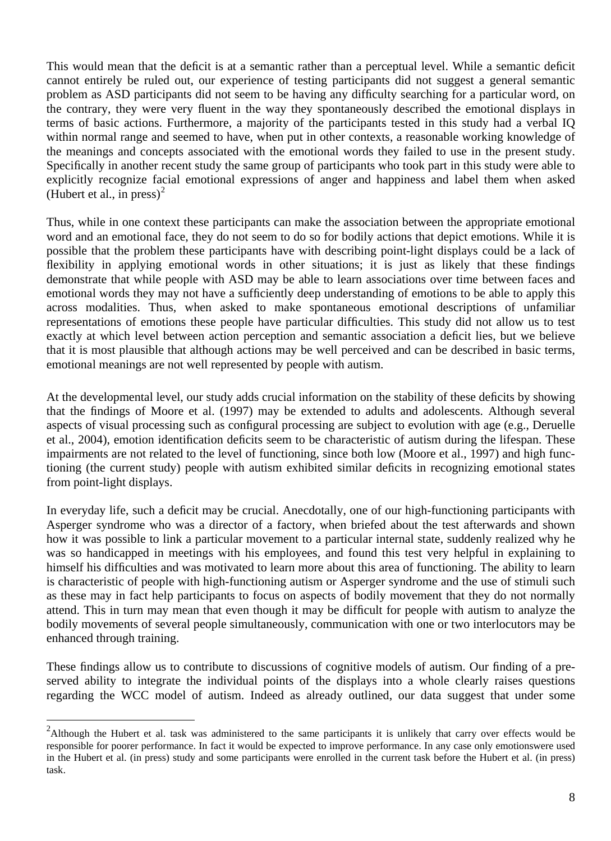This would mean that the deficit is at a semantic rather than a perceptual level. While a semantic deficit cannot entirely be ruled out, our experience of testing participants did not suggest a general semantic problem as ASD participants did not seem to be having any difficulty searching for a particular word, on the contrary, they were very fluent in the way they spontaneously described the emotional displays in terms of basic actions. Furthermore, a majority of the participants tested in this study had a verbal IQ within normal range and seemed to have, when put in other contexts, a reasonable working knowledge of the meanings and concepts associated with the emotional words they failed to use in the present study. Specifically in another recent study the same group of participants who took part in this study were able to explicitly recognize facial emotional expressions of anger and happiness and label them when asked (Hubert et al., in press)<sup>[2](#page-8-0)</sup>

Thus, while in one context these participants can make the association between the appropriate emotional word and an emotional face, they do not seem to do so for bodily actions that depict emotions. While it is possible that the problem these participants have with describing point-light displays could be a lack of flexibility in applying emotional words in other situations; it is just as likely that these findings demonstrate that while people with ASD may be able to learn associations over time between faces and emotional words they may not have a sufficiently deep understanding of emotions to be able to apply this across modalities. Thus, when asked to make spontaneous emotional descriptions of unfamiliar representations of emotions these people have particular difficulties. This study did not allow us to test exactly at which level between action perception and semantic association a deficit lies, but we believe that it is most plausible that although actions may be well perceived and can be described in basic terms, emotional meanings are not well represented by people with autism.

At the developmental level, our study adds crucial information on the stability of these deficits by showing that the findings of Moore et al. (1997) may be extended to adults and adolescents. Although several aspects of visual processing such as configural processing are subject to evolution with age (e.g., Deruelle et al., 2004), emotion identification deficits seem to be characteristic of autism during the lifespan. These impairments are not related to the level of functioning, since both low (Moore et al., 1997) and high functioning (the current study) people with autism exhibited similar deficits in recognizing emotional states from point-light displays.

In everyday life, such a deficit may be crucial. Anecdotally, one of our high-functioning participants with Asperger syndrome who was a director of a factory, when briefed about the test afterwards and shown how it was possible to link a particular movement to a particular internal state, suddenly realized why he was so handicapped in meetings with his employees, and found this test very helpful in explaining to himself his difficulties and was motivated to learn more about this area of functioning. The ability to learn is characteristic of people with high-functioning autism or Asperger syndrome and the use of stimuli such as these may in fact help participants to focus on aspects of bodily movement that they do not normally attend. This in turn may mean that even though it may be difficult for people with autism to analyze the bodily movements of several people simultaneously, communication with one or two interlocutors may be enhanced through training.

These findings allow us to contribute to discussions of cognitive models of autism. Our finding of a preserved ability to integrate the individual points of the displays into a whole clearly raises questions regarding the WCC model of autism. Indeed as already outlined, our data suggest that under some

<span id="page-8-0"></span><sup>&</sup>lt;sup>2</sup><br>Although the Hubert et al. task was administered to the same participants it is unlikely that carry over effects would be responsible for poorer performance. In fact it would be expected to improve performance. In any case only emotionswere used in the Hubert et al. (in press) study and some participants were enrolled in the current task before the Hubert et al. (in press) task.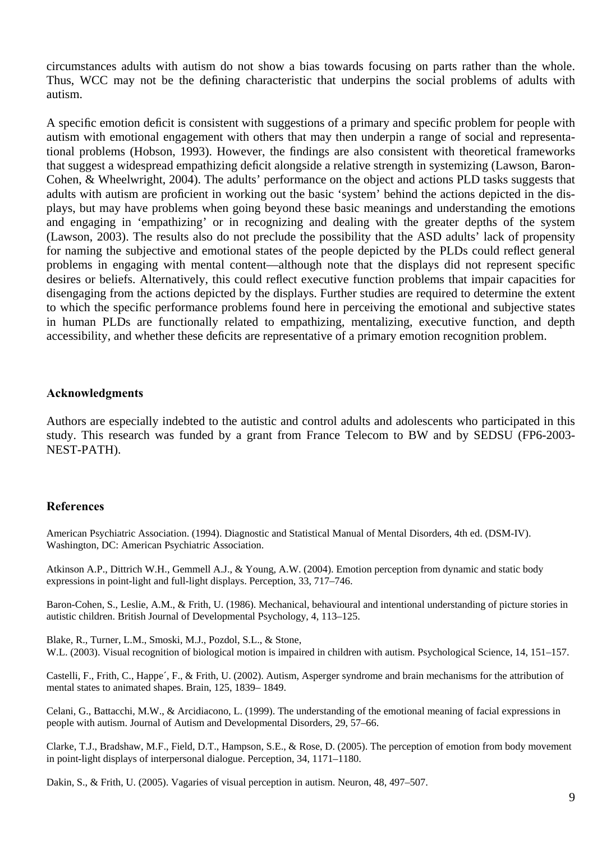circumstances adults with autism do not show a bias towards focusing on parts rather than the whole. Thus, WCC may not be the defining characteristic that underpins the social problems of adults with autism.

A specific emotion deficit is consistent with suggestions of a primary and specific problem for people with autism with emotional engagement with others that may then underpin a range of social and representational problems (Hobson, 1993). However, the findings are also consistent with theoretical frameworks that suggest a widespread empathizing deficit alongside a relative strength in systemizing (Lawson, Baron-Cohen, & Wheelwright, 2004). The adults' performance on the object and actions PLD tasks suggests that adults with autism are proficient in working out the basic 'system' behind the actions depicted in the displays, but may have problems when going beyond these basic meanings and understanding the emotions and engaging in 'empathizing' or in recognizing and dealing with the greater depths of the system (Lawson, 2003). The results also do not preclude the possibility that the ASD adults' lack of propensity for naming the subjective and emotional states of the people depicted by the PLDs could reflect general problems in engaging with mental content—although note that the displays did not represent specific desires or beliefs. Alternatively, this could reflect executive function problems that impair capacities for disengaging from the actions depicted by the displays. Further studies are required to determine the extent to which the specific performance problems found here in perceiving the emotional and subjective states in human PLDs are functionally related to empathizing, mentalizing, executive function, and depth accessibility, and whether these deficits are representative of a primary emotion recognition problem.

#### **Acknowledgments**

Authors are especially indebted to the autistic and control adults and adolescents who participated in this study. This research was funded by a grant from France Telecom to BW and by SEDSU (FP6-2003- NEST-PATH).

#### **References**

American Psychiatric Association. (1994). Diagnostic and Statistical Manual of Mental Disorders, 4th ed. (DSM-IV). Washington, DC: American Psychiatric Association.

Atkinson A.P., Dittrich W.H., Gemmell A.J., & Young, A.W. (2004). Emotion perception from dynamic and static body expressions in point-light and full-light displays. Perception, 33, 717–746.

Baron-Cohen, S., Leslie, A.M., & Frith, U. (1986). Mechanical, behavioural and intentional understanding of picture stories in autistic children. British Journal of Developmental Psychology, 4, 113–125.

Blake, R., Turner, L.M., Smoski, M.J., Pozdol, S.L., & Stone, W.L. (2003). Visual recognition of biological motion is impaired in children with autism. Psychological Science, 14, 151–157.

Castelli, F., Frith, C., Happe´, F., & Frith, U. (2002). Autism, Asperger syndrome and brain mechanisms for the attribution of mental states to animated shapes. Brain, 125, 1839– 1849.

Celani, G., Battacchi, M.W., & Arcidiacono, L. (1999). The understanding of the emotional meaning of facial expressions in people with autism. Journal of Autism and Developmental Disorders, 29, 57–66.

Clarke, T.J., Bradshaw, M.F., Field, D.T., Hampson, S.E., & Rose, D. (2005). The perception of emotion from body movement in point-light displays of interpersonal dialogue. Perception, 34, 1171–1180.

Dakin, S., & Frith, U. (2005). Vagaries of visual perception in autism. Neuron, 48, 497–507.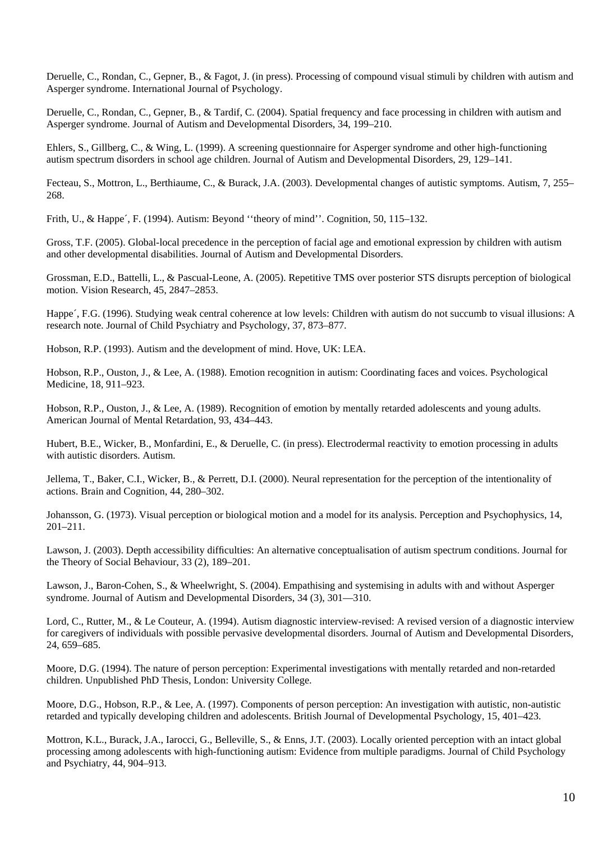Deruelle, C., Rondan, C., Gepner, B., & Fagot, J. (in press). Processing of compound visual stimuli by children with autism and Asperger syndrome. International Journal of Psychology.

Deruelle, C., Rondan, C., Gepner, B., & Tardif, C. (2004). Spatial frequency and face processing in children with autism and Asperger syndrome. Journal of Autism and Developmental Disorders, 34, 199–210.

Ehlers, S., Gillberg, C., & Wing, L. (1999). A screening questionnaire for Asperger syndrome and other high-functioning autism spectrum disorders in school age children. Journal of Autism and Developmental Disorders, 29, 129–141.

Fecteau, S., Mottron, L., Berthiaume, C., & Burack, J.A. (2003). Developmental changes of autistic symptoms. Autism, 7, 255– 268.

Frith, U., & Happe´, F. (1994). Autism: Beyond ''theory of mind''. Cognition, 50, 115–132.

Gross, T.F. (2005). Global-local precedence in the perception of facial age and emotional expression by children with autism and other developmental disabilities. Journal of Autism and Developmental Disorders.

Grossman, E.D., Battelli, L., & Pascual-Leone, A. (2005). Repetitive TMS over posterior STS disrupts perception of biological motion. Vision Research, 45, 2847–2853.

Happe´, F.G. (1996). Studying weak central coherence at low levels: Children with autism do not succumb to visual illusions: A research note. Journal of Child Psychiatry and Psychology, 37, 873–877.

Hobson, R.P. (1993). Autism and the development of mind. Hove, UK: LEA.

Hobson, R.P., Ouston, J., & Lee, A. (1988). Emotion recognition in autism: Coordinating faces and voices. Psychological Medicine, 18, 911–923.

Hobson, R.P., Ouston, J., & Lee, A. (1989). Recognition of emotion by mentally retarded adolescents and young adults. American Journal of Mental Retardation, 93, 434–443.

Hubert, B.E., Wicker, B., Monfardini, E., & Deruelle, C. (in press). Electrodermal reactivity to emotion processing in adults with autistic disorders. Autism.

Jellema, T., Baker, C.I., Wicker, B., & Perrett, D.I. (2000). Neural representation for the perception of the intentionality of actions. Brain and Cognition, 44, 280–302.

Johansson, G. (1973). Visual perception or biological motion and a model for its analysis. Perception and Psychophysics, 14, 201–211.

Lawson, J. (2003). Depth accessibility difficulties: An alternative conceptualisation of autism spectrum conditions. Journal for the Theory of Social Behaviour, 33 (2), 189–201.

Lawson, J., Baron-Cohen, S., & Wheelwright, S. (2004). Empathising and systemising in adults with and without Asperger syndrome. Journal of Autism and Developmental Disorders, 34 (3), 301-310.

Lord, C., Rutter, M., & Le Couteur, A. (1994). Autism diagnostic interview-revised: A revised version of a diagnostic interview for caregivers of individuals with possible pervasive developmental disorders. Journal of Autism and Developmental Disorders, 24, 659–685.

Moore, D.G. (1994). The nature of person perception: Experimental investigations with mentally retarded and non-retarded children. Unpublished PhD Thesis, London: University College.

Moore, D.G., Hobson, R.P., & Lee, A. (1997). Components of person perception: An investigation with autistic, non-autistic retarded and typically developing children and adolescents. British Journal of Developmental Psychology, 15, 401–423.

Mottron, K.L., Burack, J.A., Iarocci, G., Belleville, S., & Enns, J.T. (2003). Locally oriented perception with an intact global processing among adolescents with high-functioning autism: Evidence from multiple paradigms. Journal of Child Psychology and Psychiatry, 44, 904–913.